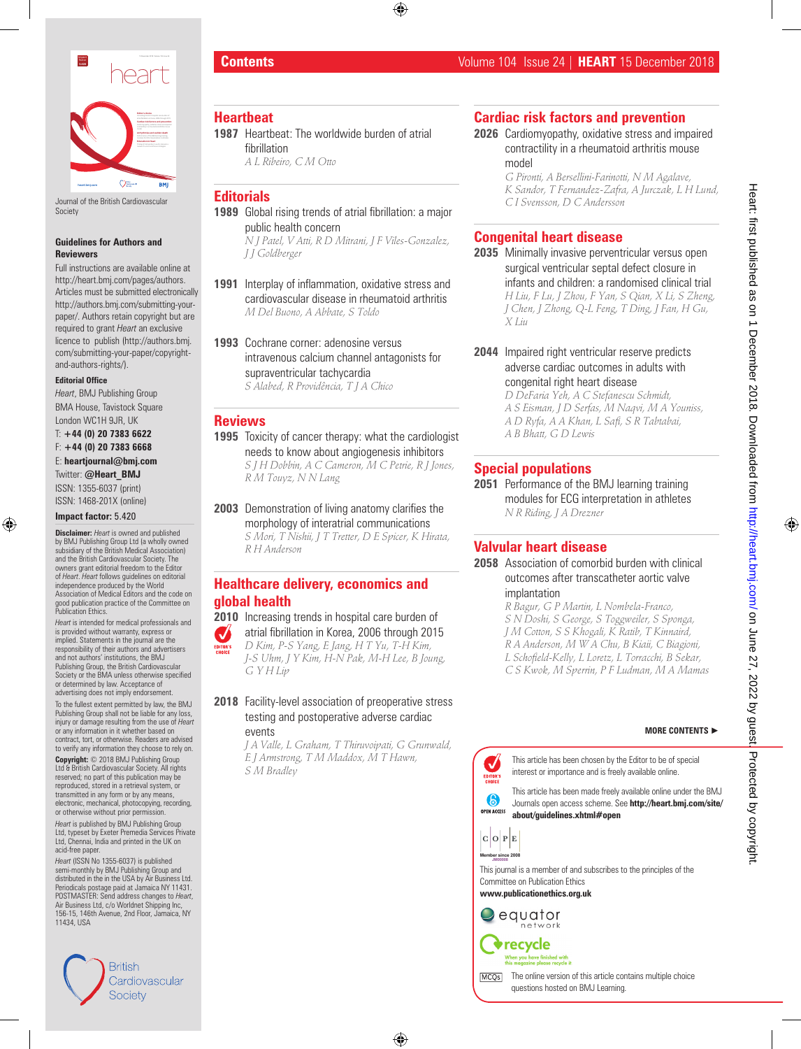

Journal of the British Cardiovascular **Society** 

#### **Guidelines for Authors and Reviewers**

Full instructions are available online at http://heart.bmj.com/pages/authors. Articles must be submitted electronically http://authors.bmj.com/submitting-yourpaper/. Authors retain copyright but are required to grant *Heart* an exclusive licence to publish (http://authors.bmj. com/submitting-your-paper/copyrightand-authors-rights/).

#### **Editorial Office**

*Heart*, BMJ Publishing Group BMA House, Tavistock Square London WC1H 9JR, UK

T: **+44 (0) 20 7383 6622**  F: **+44 (0) 20 7383 6668**  E: **heartjournal@bmj.com**  Twitter: **@Heart\_BMJ**

ISSN: 1355-6037 (print) ISSN: 1468-201X (online)

**Impact factor:** 5.420

**Disclaimer:** *Heart* is owned and published by BMJ Publishing Group Ltd (a wholly owned subsidiary of the British Medical Association) and the British Cardiovascular Society. The owners grant editorial freedom to the Editor of *Heart*. *Heart* follows guidelines on editorial independence produced by the World Association of Medical Editors and the code on good publication practice of the Committee on Publication Ethics.

*Heart* is intended for medical professionals and is provided without warranty, express or implied. Statements in the journal are the ponsibility of their authors and advertisers and not authors' institutions, the BMJ Publishing Group, the British Cardiovascular Society or the BMA unless otherwise specified or determined by law. Acceptance of advertising does not imply endorsement.

To the fullest extent permitted by law, the BMJ Publishing Group shall not be liable for any loss, injury or damage resulting from the use of *Heart*  or any information in it whether based on contract, tort, or otherwise. Readers are advised to verify any information they choose to rely on.

**Copyright:** © 2018 BMJ Publishing Group  $6$  British Cardiovascular Society. All rights reserved; no part of this publication may be reproduced, stored in a retrieval system, or transmitted in any form or by any means electronic, mechanical, photocopying, recording, or otherwise without prior permission.

*Heart* is published by BMJ Publishing Group Ltd, typeset by Exeter Premedia Services Private Ltd, Chennai, India and printed in the UK on acid-free paper.

*Heart* (ISSN No 1355-6037) is published semi-monthly by BMJ Publishing Group and distributed in the in the USA by Air Business Ltd. Periodicals postage paid at Jamaica NY 11431. POSTMASTER: Send address changes to *Heart*, Air Business Ltd, c/o Worldnet Shipping Inc, 156-15, 146th Avenue, 2nd Floor, Jamaica, NY 11434, USA



# **Contents** Volume 104 Issue 24 | **HEART** 15 December 2018

#### **Heartbeat**

- **1987** Heartbeat: The worldwide burden of atrial fibrillation
	- *A L Ribeiro, C M Otto*
- **Editorials 1989** Global rising trends of atrial fibrillation: a major

public health concern *N J Patel, V Atti, R D Mitrani, J F Viles-Gonzalez, J J Goldberger*

- **1991** Interplay of inflammation, oxidative stress and cardiovascular disease in rheumatoid arthritis *M Del Buono, A Abbate, S Toldo*
- **1993** Cochrane corner: adenosine versus intravenous calcium channel antagonists for supraventricular tachycardia *S Alabed, R Providência, T J A Chico*

#### **Reviews**

- **1995** Toxicity of cancer therapy: what the cardiologist needs to know about angiogenesis inhibitors *S J H Dobbin, A C Cameron, M C Petrie, R J Jones, R M Touyz, N N Lang*
- **2003** Demonstration of living anatomy clarifies the morphology of interatrial communications *S Mori, T Nishii, J T Tretter, D E Spicer, K Hirata, R H Anderson*

# **Healthcare delivery, economics and global health**

**2010** Increasing trends in hospital care burden of

atrial fibrillation in Korea, 2006 through 2015  $\mathcal{A}$ *D Kim, P-S Yang, E Jang, H T Yu, T-H Kim, J-S Uhm, J Y Kim, H-N Pak, M-H Lee, B Joung, G Y H Lip*

#### **2018** Facility-level association of preoperative stress testing and postoperative adverse cardiac events

*J A Valle, L Graham, T Thiruvoipati, G Grunwald, E J Armstrong, T M Maddox, M T Hawn, S M Bradley*

# **Cardiac risk factors and prevention**

**2026** Cardiomyopathy, oxidative stress and impaired contractility in a rheumatoid arthritis mouse model

> *G Pironti, A Bersellini-Farinotti, N M Agalave, K Sandor, T Fernandez-Zafra, A Jurczak, L H Lund, C I Svensson, D C Andersson*

# **Congenital heart disease**

**2035** Minimally invasive perventricular versus open surgical ventricular septal defect closure in infants and children: a randomised clinical trial *H Liu, F Lu, J Zhou, F Yan, S Qian, X Li, S Zheng, J Chen, J Zhong, Q-L Feng, T Ding, J Fan, H Gu, X Liu*

**2044** Impaired right ventricular reserve predicts adverse cardiac outcomes in adults with congenital right heart disease

*D DeFaria Yeh, A C Stefanescu Schmidt, A S Eisman, J D Serfas, M Naqvi, M A Youniss, A D Ryfa, A A Khan, L Safi, S R Tabtabai, A B Bhatt, G D Lewis*

# **Special populations**

**2051** Performance of the BMJ learning training modules for ECG interpretation in athletes *N R Riding, J A Drezner*

# **Valvular heart disease**

**2058** Association of comorbid burden with clinical outcomes after transcatheter aortic valve implantation

*R Bagur, G P Martin, L Nombela-Franco, S N Doshi, S George, S Toggweiler, S Sponga, J M Cotton, S S Khogali, K Ratib, T Kinnaird, R A Anderson, M W A Chu, B Kiaii, C Biagioni, L Schofield-Kelly, L Loretz, L Torracchi, B Sekar, C S Kwok, M Sperrin, P F Ludman, M A Mamas*

#### **MORE CONTENTS** ►



This article has been chosen by the Editor to be of special interest or importance and is freely available online.

This article has been made freely available online under the BMJ Journals open access scheme. See **http://heart.bmj.com/site/ about/guidelines.xhtml#open**



This journal is a member of and subscribes to the principles of the Committee on Publication Ethics **JM00008**

**www.publicationethics.org.uk**

equator network

recycle hen you have finished with



The online version of this article contains multiple choice MCO<sub>s</sub> questions hosted on BMJ Learning.